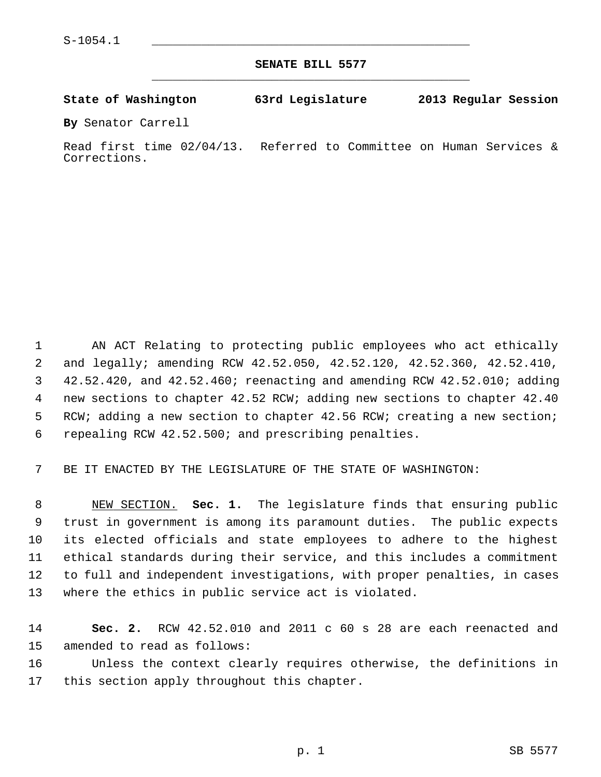**SENATE BILL 5577** \_\_\_\_\_\_\_\_\_\_\_\_\_\_\_\_\_\_\_\_\_\_\_\_\_\_\_\_\_\_\_\_\_\_\_\_\_\_\_\_\_\_\_\_\_

**State of Washington 63rd Legislature 2013 Regular Session**

**By** Senator Carrell

Read first time 02/04/13. Referred to Committee on Human Services & Corrections.

 1 AN ACT Relating to protecting public employees who act ethically 2 and legally; amending RCW 42.52.050, 42.52.120, 42.52.360, 42.52.410, 3 42.52.420, and 42.52.460; reenacting and amending RCW 42.52.010; adding 4 new sections to chapter 42.52 RCW; adding new sections to chapter 42.40 5 RCW; adding a new section to chapter 42.56 RCW; creating a new section; 6 repealing RCW 42.52.500; and prescribing penalties.

7 BE IT ENACTED BY THE LEGISLATURE OF THE STATE OF WASHINGTON:

 8 NEW SECTION. **Sec. 1.** The legislature finds that ensuring public 9 trust in government is among its paramount duties. The public expects 10 its elected officials and state employees to adhere to the highest 11 ethical standards during their service, and this includes a commitment 12 to full and independent investigations, with proper penalties, in cases 13 where the ethics in public service act is violated.

14 **Sec. 2.** RCW 42.52.010 and 2011 c 60 s 28 are each reenacted and 15 amended to read as follows:

16 Unless the context clearly requires otherwise, the definitions in 17 this section apply throughout this chapter.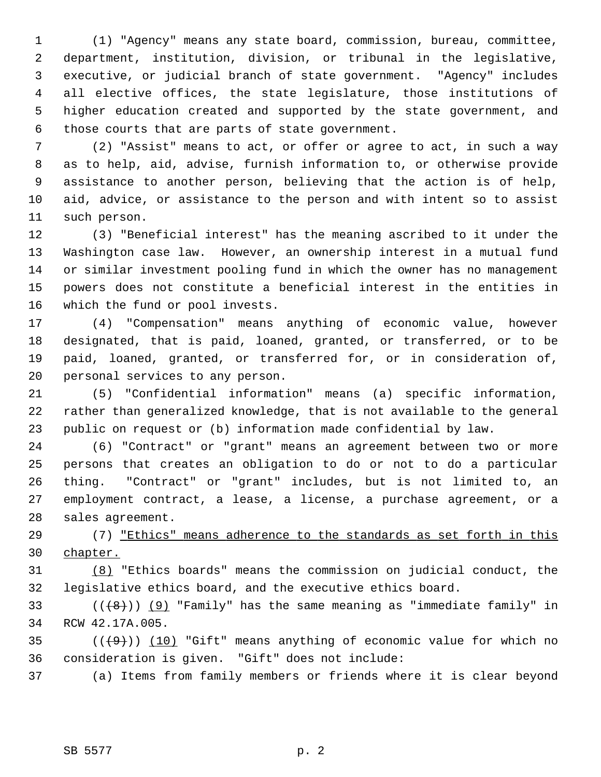1 (1) "Agency" means any state board, commission, bureau, committee, 2 department, institution, division, or tribunal in the legislative, 3 executive, or judicial branch of state government. "Agency" includes 4 all elective offices, the state legislature, those institutions of 5 higher education created and supported by the state government, and 6 those courts that are parts of state government.

 7 (2) "Assist" means to act, or offer or agree to act, in such a way 8 as to help, aid, advise, furnish information to, or otherwise provide 9 assistance to another person, believing that the action is of help, 10 aid, advice, or assistance to the person and with intent so to assist 11 such person.

12 (3) "Beneficial interest" has the meaning ascribed to it under the 13 Washington case law. However, an ownership interest in a mutual fund 14 or similar investment pooling fund in which the owner has no management 15 powers does not constitute a beneficial interest in the entities in 16 which the fund or pool invests.

17 (4) "Compensation" means anything of economic value, however 18 designated, that is paid, loaned, granted, or transferred, or to be 19 paid, loaned, granted, or transferred for, or in consideration of, 20 personal services to any person.

21 (5) "Confidential information" means (a) specific information, 22 rather than generalized knowledge, that is not available to the general 23 public on request or (b) information made confidential by law.

24 (6) "Contract" or "grant" means an agreement between two or more 25 persons that creates an obligation to do or not to do a particular 26 thing. "Contract" or "grant" includes, but is not limited to, an 27 employment contract, a lease, a license, a purchase agreement, or a 28 sales agreement.

29 (7) "Ethics" means adherence to the standards as set forth in this 30 chapter.

31 (8) "Ethics boards" means the commission on judicial conduct, the 32 legislative ethics board, and the executive ethics board.

33  $((+8))$  (9) "Family" has the same meaning as "immediate family" in 34 RCW 42.17A.005.

35  $((+9))$  (10) "Gift" means anything of economic value for which no 36 consideration is given. "Gift" does not include:

37 (a) Items from family members or friends where it is clear beyond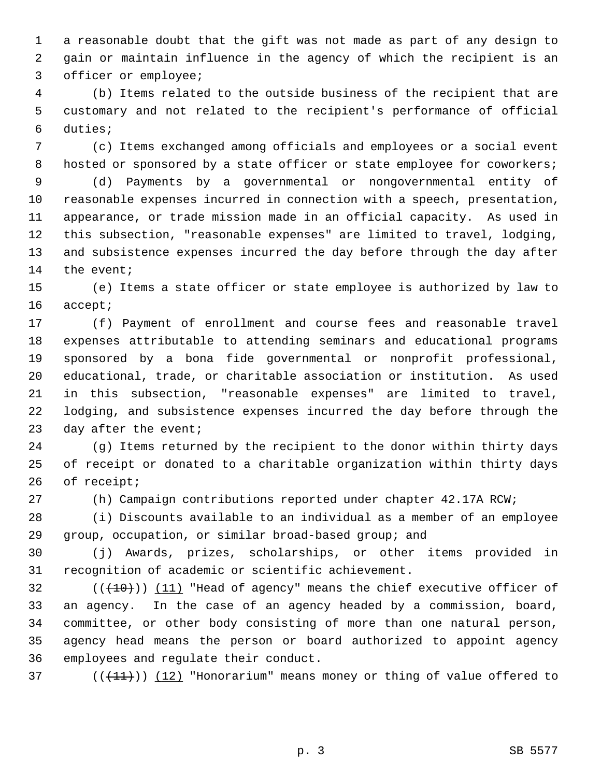1 a reasonable doubt that the gift was not made as part of any design to 2 gain or maintain influence in the agency of which the recipient is an 3 officer or employee;

 4 (b) Items related to the outside business of the recipient that are 5 customary and not related to the recipient's performance of official 6 duties;

 7 (c) Items exchanged among officials and employees or a social event 8 hosted or sponsored by a state officer or state employee for coworkers;

 9 (d) Payments by a governmental or nongovernmental entity of 10 reasonable expenses incurred in connection with a speech, presentation, 11 appearance, or trade mission made in an official capacity. As used in 12 this subsection, "reasonable expenses" are limited to travel, lodging, 13 and subsistence expenses incurred the day before through the day after 14 the event;

15 (e) Items a state officer or state employee is authorized by law to 16 accept;

17 (f) Payment of enrollment and course fees and reasonable travel 18 expenses attributable to attending seminars and educational programs 19 sponsored by a bona fide governmental or nonprofit professional, 20 educational, trade, or charitable association or institution. As used 21 in this subsection, "reasonable expenses" are limited to travel, 22 lodging, and subsistence expenses incurred the day before through the 23 day after the event;

24 (g) Items returned by the recipient to the donor within thirty days 25 of receipt or donated to a charitable organization within thirty days 26 of receipt;

27 (h) Campaign contributions reported under chapter 42.17A RCW;

28 (i) Discounts available to an individual as a member of an employee 29 group, occupation, or similar broad-based group; and

30 (j) Awards, prizes, scholarships, or other items provided in 31 recognition of academic or scientific achievement.

 $(1)(10)(11)$  "Head of agency" means the chief executive officer of 33 an agency. In the case of an agency headed by a commission, board, 34 committee, or other body consisting of more than one natural person, 35 agency head means the person or board authorized to appoint agency 36 employees and regulate their conduct.

37 ( $(\frac{11}{1})$ ) (12) "Honorarium" means money or thing of value offered to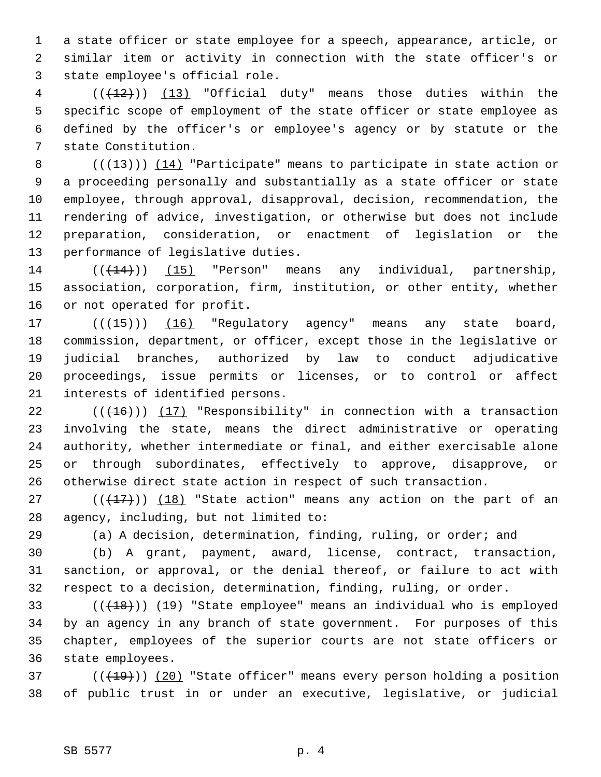1 a state officer or state employee for a speech, appearance, article, or 2 similar item or activity in connection with the state officer's or 3 state employee's official role.

 $4$  (( $(12)$ )) (13) "Official duty" means those duties within the 5 specific scope of employment of the state officer or state employee as 6 defined by the officer's or employee's agency or by statute or the 7 state Constitution.

8 (( $(13)$ ) (14) "Participate" means to participate in state action or 9 a proceeding personally and substantially as a state officer or state 10 employee, through approval, disapproval, decision, recommendation, the 11 rendering of advice, investigation, or otherwise but does not include 12 preparation, consideration, or enactment of legislation or the 13 performance of legislative duties.

 $14$  ( $(\overline{+14})$ ) (15) "Person" means any individual, partnership, 15 association, corporation, firm, institution, or other entity, whether 16 or not operated for profit.

17 (( $(15)$ ) (16) "Regulatory agency" means any state board, 18 commission, department, or officer, except those in the legislative or 19 judicial branches, authorized by law to conduct adjudicative 20 proceedings, issue permits or licenses, or to control or affect 21 interests of identified persons.

22  $((+16))$  (17) "Responsibility" in connection with a transaction 23 involving the state, means the direct administrative or operating 24 authority, whether intermediate or final, and either exercisable alone 25 or through subordinates, effectively to approve, disapprove, or 26 otherwise direct state action in respect of such transaction.

27 ( $(\frac{17}{17})$ ) (18) "State action" means any action on the part of an 28 agency, including, but not limited to:

29 (a) A decision, determination, finding, ruling, or order; and

30 (b) A grant, payment, award, license, contract, transaction, 31 sanction, or approval, or the denial thereof, or failure to act with 32 respect to a decision, determination, finding, ruling, or order.

 $(18)$  (( $19$ ) (19) "State employee" means an individual who is employed 34 by an agency in any branch of state government. For purposes of this 35 chapter, employees of the superior courts are not state officers or 36 state employees.

 $37$  ( $(\overline{+19})$ ) (20) "State officer" means every person holding a position 38 of public trust in or under an executive, legislative, or judicial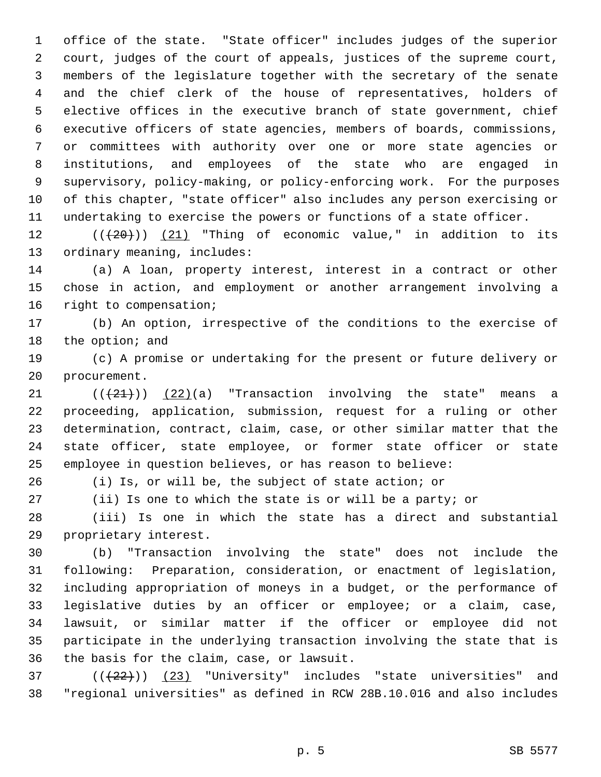1 office of the state. "State officer" includes judges of the superior 2 court, judges of the court of appeals, justices of the supreme court, 3 members of the legislature together with the secretary of the senate 4 and the chief clerk of the house of representatives, holders of 5 elective offices in the executive branch of state government, chief 6 executive officers of state agencies, members of boards, commissions, 7 or committees with authority over one or more state agencies or 8 institutions, and employees of the state who are engaged in 9 supervisory, policy-making, or policy-enforcing work. For the purposes 10 of this chapter, "state officer" also includes any person exercising or 11 undertaking to exercise the powers or functions of a state officer.

12  $((+20))$   $(21)$  "Thing of economic value," in addition to its 13 ordinary meaning, includes:

14 (a) A loan, property interest, interest in a contract or other 15 chose in action, and employment or another arrangement involving a 16 right to compensation;

17 (b) An option, irrespective of the conditions to the exercise of 18 the option; and

19 (c) A promise or undertaking for the present or future delivery or 20 procurement.

21  $((+21))$   $(22)(a)$  "Transaction involving the state" means a 22 proceeding, application, submission, request for a ruling or other 23 determination, contract, claim, case, or other similar matter that the 24 state officer, state employee, or former state officer or state 25 employee in question believes, or has reason to believe:

26 (i) Is, or will be, the subject of state action; or

27 (ii) Is one to which the state is or will be a party; or

28 (iii) Is one in which the state has a direct and substantial 29 proprietary interest.

30 (b) "Transaction involving the state" does not include the 31 following: Preparation, consideration, or enactment of legislation, 32 including appropriation of moneys in a budget, or the performance of 33 legislative duties by an officer or employee; or a claim, case, 34 lawsuit, or similar matter if the officer or employee did not 35 participate in the underlying transaction involving the state that is 36 the basis for the claim, case, or lawsuit.

 $(1 + 22)$ ) (23) "University" includes "state universities" and 38 "regional universities" as defined in RCW 28B.10.016 and also includes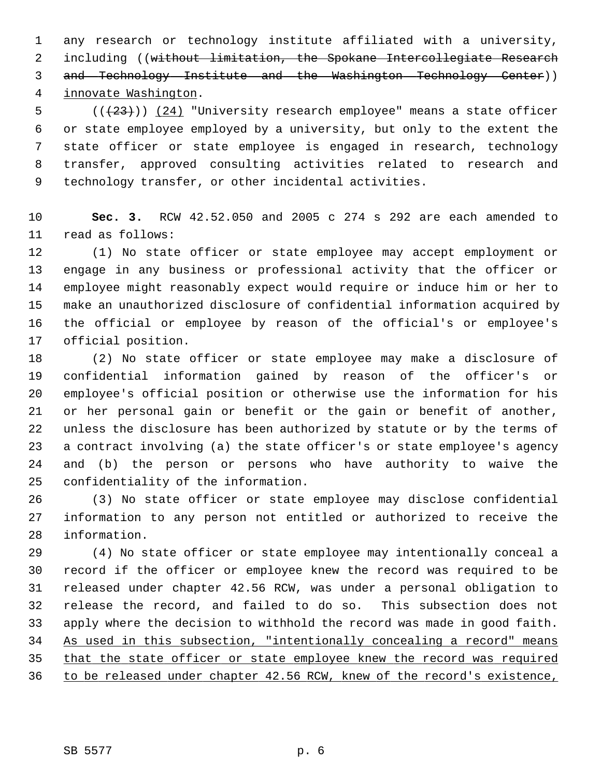1 any research or technology institute affiliated with a university, 2 including ((without limitation, the Spokane Intercollegiate Research 3 and Technology Institute and the Washington Technology Center)) 4 innovate Washington.

 $5$  (( $(23)$ )) (24) "University research employee" means a state officer 6 or state employee employed by a university, but only to the extent the 7 state officer or state employee is engaged in research, technology 8 transfer, approved consulting activities related to research and 9 technology transfer, or other incidental activities.

10 **Sec. 3.** RCW 42.52.050 and 2005 c 274 s 292 are each amended to 11 read as follows:

12 (1) No state officer or state employee may accept employment or 13 engage in any business or professional activity that the officer or 14 employee might reasonably expect would require or induce him or her to 15 make an unauthorized disclosure of confidential information acquired by 16 the official or employee by reason of the official's or employee's 17 official position.

18 (2) No state officer or state employee may make a disclosure of 19 confidential information gained by reason of the officer's or 20 employee's official position or otherwise use the information for his 21 or her personal gain or benefit or the gain or benefit of another, 22 unless the disclosure has been authorized by statute or by the terms of 23 a contract involving (a) the state officer's or state employee's agency 24 and (b) the person or persons who have authority to waive the 25 confidentiality of the information.

26 (3) No state officer or state employee may disclose confidential 27 information to any person not entitled or authorized to receive the 28 information.

29 (4) No state officer or state employee may intentionally conceal a 30 record if the officer or employee knew the record was required to be 31 released under chapter 42.56 RCW, was under a personal obligation to 32 release the record, and failed to do so. This subsection does not 33 apply where the decision to withhold the record was made in good faith. 34 As used in this subsection, "intentionally concealing a record" means 35 that the state officer or state employee knew the record was required 36 to be released under chapter 42.56 RCW, knew of the record's existence,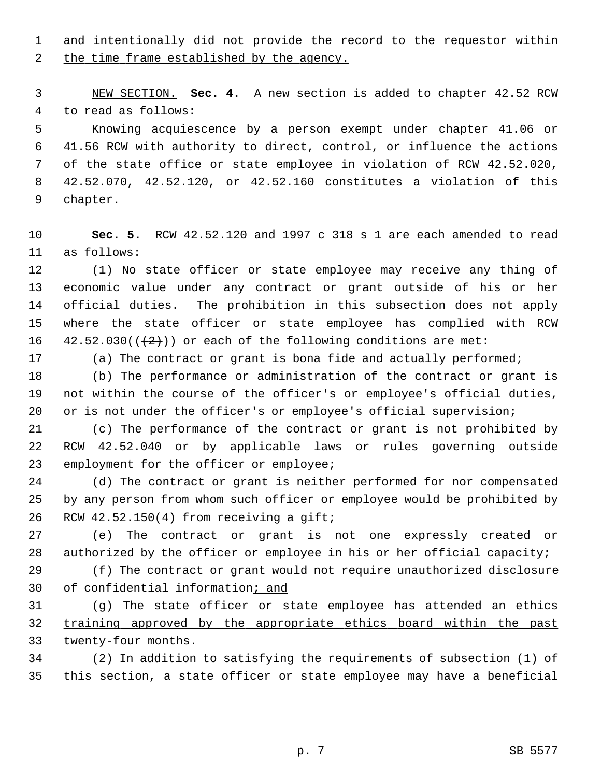1 and intentionally did not provide the record to the requestor within

2 the time frame established by the agency.

 3 NEW SECTION. **Sec. 4.** A new section is added to chapter 42.52 RCW 4 to read as follows:

 5 Knowing acquiescence by a person exempt under chapter 41.06 or 6 41.56 RCW with authority to direct, control, or influence the actions 7 of the state office or state employee in violation of RCW 42.52.020, 8 42.52.070, 42.52.120, or 42.52.160 constitutes a violation of this 9 chapter.

10 **Sec. 5.** RCW 42.52.120 and 1997 c 318 s 1 are each amended to read 11 as follows:

12 (1) No state officer or state employee may receive any thing of 13 economic value under any contract or grant outside of his or her 14 official duties. The prohibition in this subsection does not apply 15 where the state officer or state employee has complied with RCW 16  $42.52.030((+2))$  or each of the following conditions are met:

17 (a) The contract or grant is bona fide and actually performed;

18 (b) The performance or administration of the contract or grant is 19 not within the course of the officer's or employee's official duties, 20 or is not under the officer's or employee's official supervision;

21 (c) The performance of the contract or grant is not prohibited by 22 RCW 42.52.040 or by applicable laws or rules governing outside 23 employment for the officer or employee;

24 (d) The contract or grant is neither performed for nor compensated 25 by any person from whom such officer or employee would be prohibited by 26 RCW 42.52.150(4) from receiving a gift;

27 (e) The contract or grant is not one expressly created or 28 authorized by the officer or employee in his or her official capacity;

29 (f) The contract or grant would not require unauthorized disclosure 30 of confidential information; and

31 (g) The state officer or state employee has attended an ethics 32 training approved by the appropriate ethics board within the past 33 twenty-four months.

34 (2) In addition to satisfying the requirements of subsection (1) of 35 this section, a state officer or state employee may have a beneficial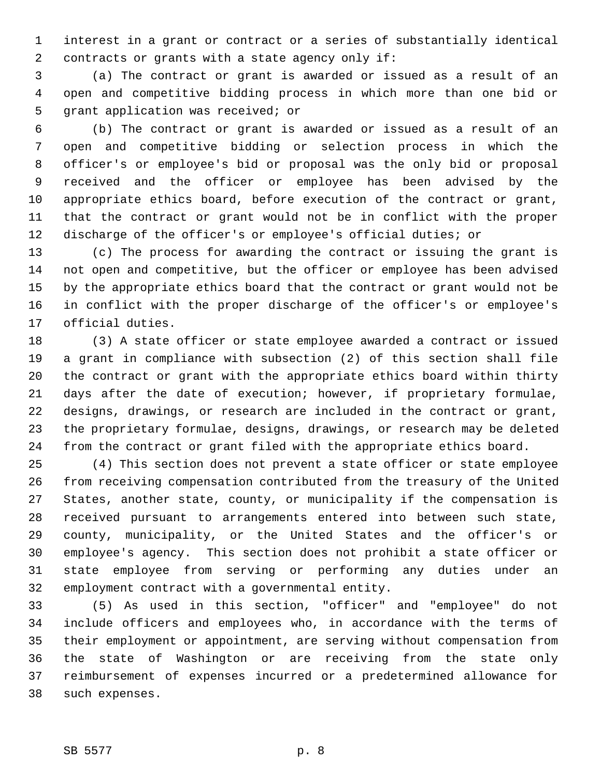1 interest in a grant or contract or a series of substantially identical 2 contracts or grants with a state agency only if:

 3 (a) The contract or grant is awarded or issued as a result of an 4 open and competitive bidding process in which more than one bid or 5 grant application was received; or

 6 (b) The contract or grant is awarded or issued as a result of an 7 open and competitive bidding or selection process in which the 8 officer's or employee's bid or proposal was the only bid or proposal 9 received and the officer or employee has been advised by the 10 appropriate ethics board, before execution of the contract or grant, 11 that the contract or grant would not be in conflict with the proper 12 discharge of the officer's or employee's official duties; or

13 (c) The process for awarding the contract or issuing the grant is 14 not open and competitive, but the officer or employee has been advised 15 by the appropriate ethics board that the contract or grant would not be 16 in conflict with the proper discharge of the officer's or employee's 17 official duties.

18 (3) A state officer or state employee awarded a contract or issued 19 a grant in compliance with subsection (2) of this section shall file 20 the contract or grant with the appropriate ethics board within thirty 21 days after the date of execution; however, if proprietary formulae, 22 designs, drawings, or research are included in the contract or grant, 23 the proprietary formulae, designs, drawings, or research may be deleted 24 from the contract or grant filed with the appropriate ethics board.

25 (4) This section does not prevent a state officer or state employee 26 from receiving compensation contributed from the treasury of the United 27 States, another state, county, or municipality if the compensation is 28 received pursuant to arrangements entered into between such state, 29 county, municipality, or the United States and the officer's or 30 employee's agency. This section does not prohibit a state officer or 31 state employee from serving or performing any duties under an 32 employment contract with a governmental entity.

33 (5) As used in this section, "officer" and "employee" do not 34 include officers and employees who, in accordance with the terms of 35 their employment or appointment, are serving without compensation from 36 the state of Washington or are receiving from the state only 37 reimbursement of expenses incurred or a predetermined allowance for 38 such expenses.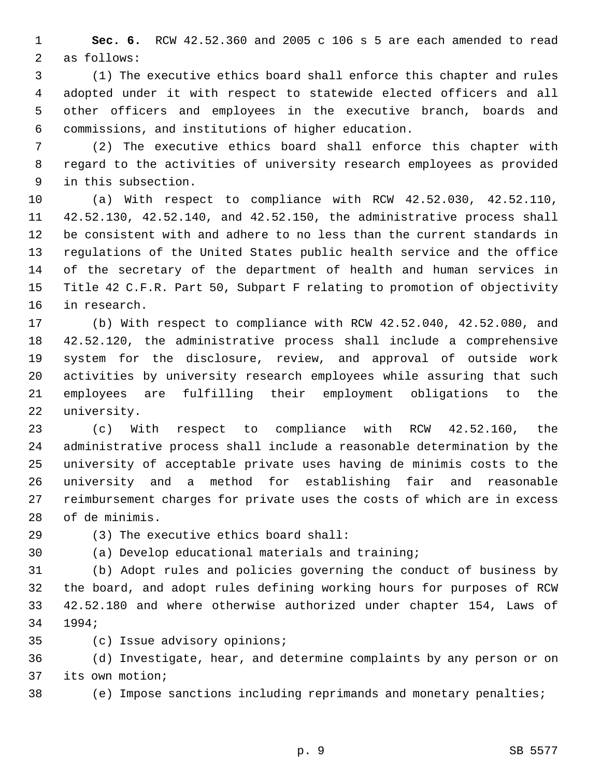1 **Sec. 6.** RCW 42.52.360 and 2005 c 106 s 5 are each amended to read 2 as follows:

 3 (1) The executive ethics board shall enforce this chapter and rules 4 adopted under it with respect to statewide elected officers and all 5 other officers and employees in the executive branch, boards and 6 commissions, and institutions of higher education.

 7 (2) The executive ethics board shall enforce this chapter with 8 regard to the activities of university research employees as provided 9 in this subsection.

10 (a) With respect to compliance with RCW 42.52.030, 42.52.110, 11 42.52.130, 42.52.140, and 42.52.150, the administrative process shall 12 be consistent with and adhere to no less than the current standards in 13 regulations of the United States public health service and the office 14 of the secretary of the department of health and human services in 15 Title 42 C.F.R. Part 50, Subpart F relating to promotion of objectivity 16 in research.

17 (b) With respect to compliance with RCW 42.52.040, 42.52.080, and 18 42.52.120, the administrative process shall include a comprehensive 19 system for the disclosure, review, and approval of outside work 20 activities by university research employees while assuring that such 21 employees are fulfilling their employment obligations to the 22 university.

23 (c) With respect to compliance with RCW 42.52.160, the 24 administrative process shall include a reasonable determination by the 25 university of acceptable private uses having de minimis costs to the 26 university and a method for establishing fair and reasonable 27 reimbursement charges for private uses the costs of which are in excess 28 of de minimis.

29 (3) The executive ethics board shall:

30 (a) Develop educational materials and training;

31 (b) Adopt rules and policies governing the conduct of business by 32 the board, and adopt rules defining working hours for purposes of RCW 33 42.52.180 and where otherwise authorized under chapter 154, Laws of 34 1994;

35 (c) Issue advisory opinions;

36 (d) Investigate, hear, and determine complaints by any person or on 37 its own motion;

38 (e) Impose sanctions including reprimands and monetary penalties;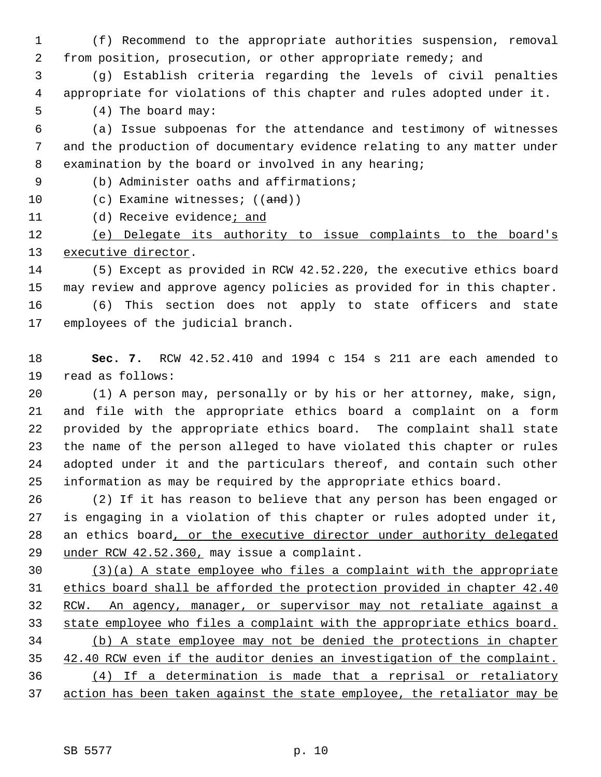1 (f) Recommend to the appropriate authorities suspension, removal 2 from position, prosecution, or other appropriate remedy; and

 3 (g) Establish criteria regarding the levels of civil penalties 4 appropriate for violations of this chapter and rules adopted under it.

5 (4) The board may:

 6 (a) Issue subpoenas for the attendance and testimony of witnesses 7 and the production of documentary evidence relating to any matter under 8 examination by the board or involved in any hearing;

9 (b) Administer oaths and affirmations;

- 10 (c) Examine witnesses; ((and))
- 11 (d) Receive evidence; and

12 (e) Delegate its authority to issue complaints to the board's 13 executive director.

14 (5) Except as provided in RCW 42.52.220, the executive ethics board 15 may review and approve agency policies as provided for in this chapter. 16 (6) This section does not apply to state officers and state 17 employees of the judicial branch.

18 **Sec. 7.** RCW 42.52.410 and 1994 c 154 s 211 are each amended to 19 read as follows:

20 (1) A person may, personally or by his or her attorney, make, sign, 21 and file with the appropriate ethics board a complaint on a form 22 provided by the appropriate ethics board. The complaint shall state 23 the name of the person alleged to have violated this chapter or rules 24 adopted under it and the particulars thereof, and contain such other 25 information as may be required by the appropriate ethics board.

26 (2) If it has reason to believe that any person has been engaged or 27 is engaging in a violation of this chapter or rules adopted under it, 28 an ethics board, or the executive director under authority delegated 29 under RCW 42.52.360, may issue a complaint.

 (3)(a) A state employee who files a complaint with the appropriate ethics board shall be afforded the protection provided in chapter 42.40 RCW. An agency, manager, or supervisor may not retaliate against a state employee who files a complaint with the appropriate ethics board. (b) A state employee may not be denied the protections in chapter 42.40 RCW even if the auditor denies an investigation of the complaint. (4) If a determination is made that a reprisal or retaliatory action has been taken against the state employee, the retaliator may be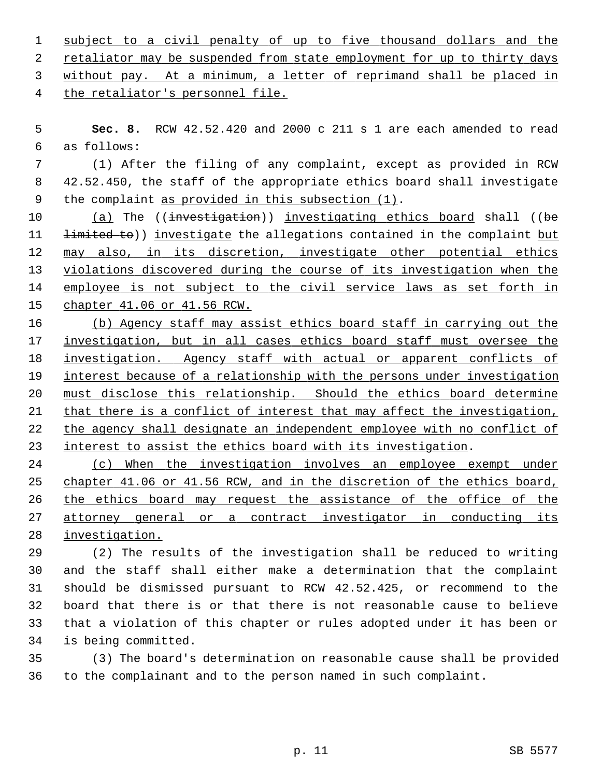| 1 subject to a civil penalty of up to five thousand dollars and the       |  |  |  |  |  |  |
|---------------------------------------------------------------------------|--|--|--|--|--|--|
| 2 retaliator may be suspended from state employment for up to thirty days |  |  |  |  |  |  |
| 3 without pay. At a minimum, a letter of reprimand shall be placed in     |  |  |  |  |  |  |
| 4 the retaliator's personnel file.                                        |  |  |  |  |  |  |

 5 **Sec. 8.** RCW 42.52.420 and 2000 c 211 s 1 are each amended to read 6 as follows:

 7 (1) After the filing of any complaint, except as provided in RCW 8 42.52.450, the staff of the appropriate ethics board shall investigate 9 the complaint as provided in this subsection (1).

10 (a) The ((investigation)) investigating ethics board shall ((be 11 <del>limited to</del>)) investigate the allegations contained in the complaint but 12 may also, in its discretion, investigate other potential ethics 13 violations discovered during the course of its investigation when the 14 employee is not subject to the civil service laws as set forth in 15 chapter 41.06 or 41.56 RCW.

 (b) Agency staff may assist ethics board staff in carrying out the investigation, but in all cases ethics board staff must oversee the investigation. Agency staff with actual or apparent conflicts of interest because of a relationship with the persons under investigation must disclose this relationship. Should the ethics board determine 21 that there is a conflict of interest that may affect the investigation, the agency shall designate an independent employee with no conflict of interest to assist the ethics board with its investigation.

24 (c) When the investigation involves an employee exempt under 25 chapter 41.06 or 41.56 RCW, and in the discretion of the ethics board, 26 the ethics board may request the assistance of the office of the 27 attorney general or a contract investigator in conducting its 28 investigation.

29 (2) The results of the investigation shall be reduced to writing 30 and the staff shall either make a determination that the complaint 31 should be dismissed pursuant to RCW 42.52.425, or recommend to the 32 board that there is or that there is not reasonable cause to believe 33 that a violation of this chapter or rules adopted under it has been or 34 is being committed.

35 (3) The board's determination on reasonable cause shall be provided 36 to the complainant and to the person named in such complaint.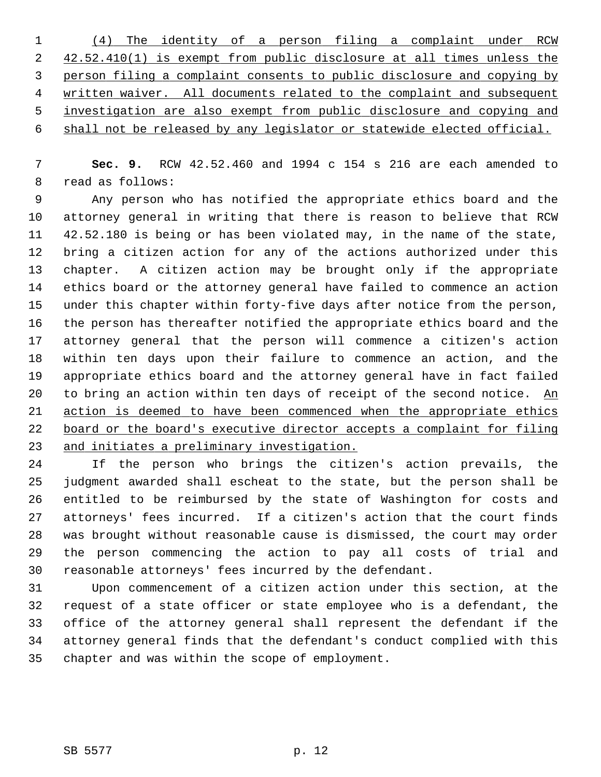|   | (4) The identity of a person filing a complaint under RCW                |
|---|--------------------------------------------------------------------------|
| 2 | 42.52.410(1) is exempt from public disclosure at all times unless the    |
| 3 | person filing a complaint consents to public disclosure and copying by   |
| 4 | written waiver. All documents related to the complaint and subsequent    |
| 5 | investigation are also exempt from public disclosure and copying and     |
|   | 6 shall not be released by any legislator or statewide elected official. |

 7 **Sec. 9.** RCW 42.52.460 and 1994 c 154 s 216 are each amended to 8 read as follows:

 9 Any person who has notified the appropriate ethics board and the 10 attorney general in writing that there is reason to believe that RCW 11 42.52.180 is being or has been violated may, in the name of the state, 12 bring a citizen action for any of the actions authorized under this 13 chapter. A citizen action may be brought only if the appropriate 14 ethics board or the attorney general have failed to commence an action 15 under this chapter within forty-five days after notice from the person, 16 the person has thereafter notified the appropriate ethics board and the 17 attorney general that the person will commence a citizen's action 18 within ten days upon their failure to commence an action, and the 19 appropriate ethics board and the attorney general have in fact failed 20 to bring an action within ten days of receipt of the second notice. An 21 action is deemed to have been commenced when the appropriate ethics 22 board or the board's executive director accepts a complaint for filing 23 and initiates a preliminary investigation.

24 If the person who brings the citizen's action prevails, the 25 judgment awarded shall escheat to the state, but the person shall be 26 entitled to be reimbursed by the state of Washington for costs and 27 attorneys' fees incurred. If a citizen's action that the court finds 28 was brought without reasonable cause is dismissed, the court may order 29 the person commencing the action to pay all costs of trial and 30 reasonable attorneys' fees incurred by the defendant.

31 Upon commencement of a citizen action under this section, at the 32 request of a state officer or state employee who is a defendant, the 33 office of the attorney general shall represent the defendant if the 34 attorney general finds that the defendant's conduct complied with this 35 chapter and was within the scope of employment.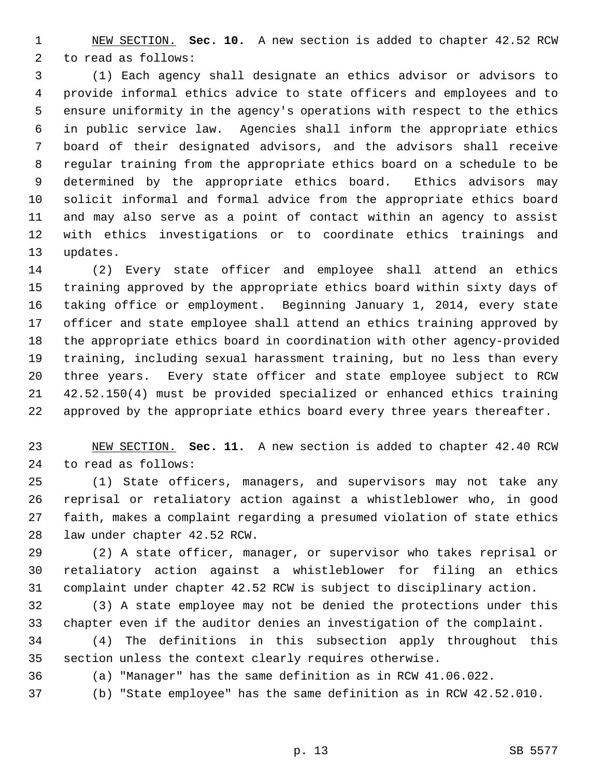1 NEW SECTION. **Sec. 10.** A new section is added to chapter 42.52 RCW 2 to read as follows:

 3 (1) Each agency shall designate an ethics advisor or advisors to 4 provide informal ethics advice to state officers and employees and to 5 ensure uniformity in the agency's operations with respect to the ethics 6 in public service law. Agencies shall inform the appropriate ethics 7 board of their designated advisors, and the advisors shall receive 8 regular training from the appropriate ethics board on a schedule to be 9 determined by the appropriate ethics board. Ethics advisors may 10 solicit informal and formal advice from the appropriate ethics board 11 and may also serve as a point of contact within an agency to assist 12 with ethics investigations or to coordinate ethics trainings and 13 updates.

14 (2) Every state officer and employee shall attend an ethics 15 training approved by the appropriate ethics board within sixty days of 16 taking office or employment. Beginning January 1, 2014, every state 17 officer and state employee shall attend an ethics training approved by 18 the appropriate ethics board in coordination with other agency-provided 19 training, including sexual harassment training, but no less than every 20 three years. Every state officer and state employee subject to RCW 21 42.52.150(4) must be provided specialized or enhanced ethics training 22 approved by the appropriate ethics board every three years thereafter.

23 NEW SECTION. **Sec. 11.** A new section is added to chapter 42.40 RCW 24 to read as follows:

25 (1) State officers, managers, and supervisors may not take any 26 reprisal or retaliatory action against a whistleblower who, in good 27 faith, makes a complaint regarding a presumed violation of state ethics 28 law under chapter 42.52 RCW.

29 (2) A state officer, manager, or supervisor who takes reprisal or 30 retaliatory action against a whistleblower for filing an ethics 31 complaint under chapter 42.52 RCW is subject to disciplinary action.

32 (3) A state employee may not be denied the protections under this 33 chapter even if the auditor denies an investigation of the complaint.

34 (4) The definitions in this subsection apply throughout this 35 section unless the context clearly requires otherwise.

36 (a) "Manager" has the same definition as in RCW 41.06.022.

37 (b) "State employee" has the same definition as in RCW 42.52.010.